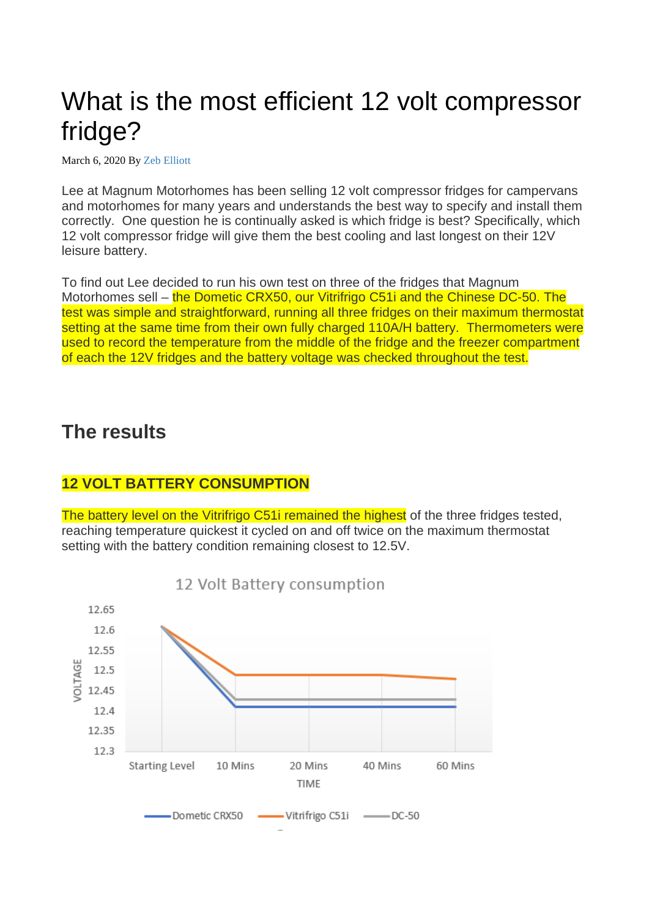# What is the most efficient 12 volt compressor fridge?

March 6, 2020 By [Zeb Elliott](https://penguinfrigo.co.uk/author/zebelliott/)

Lee at Magnum Motorhomes has been selling 12 volt compressor fridges for campervans and motorhomes for many years and understands the best way to specify and install them correctly. One question he is continually asked is which fridge is best? Specifically, which 12 volt compressor fridge will give them the best cooling and last longest on their 12V leisure battery.

To find out Lee decided to run his own test on three of the fridges that Magnum Motorhomes sell – the Dometic CRX50, our Vitrifrigo C51i and the Chinese DC-50. The test was simple and straightforward, running all three fridges on their maximum thermostat setting at the same time from their own fully charged 110A/H battery. Thermometers were used to record the temperature from the middle of the fridge and the freezer compartment of each the 12V fridges and the battery voltage was checked throughout the test.

### **The results**

#### **12 VOLT BATTERY CONSUMPTION**

The battery level on the Vitrifrigo C51i remained the highest of the three fridges tested, reaching temperature quickest it cycled on and off twice on the maximum thermostat setting with the battery condition remaining closest to 12.5V.

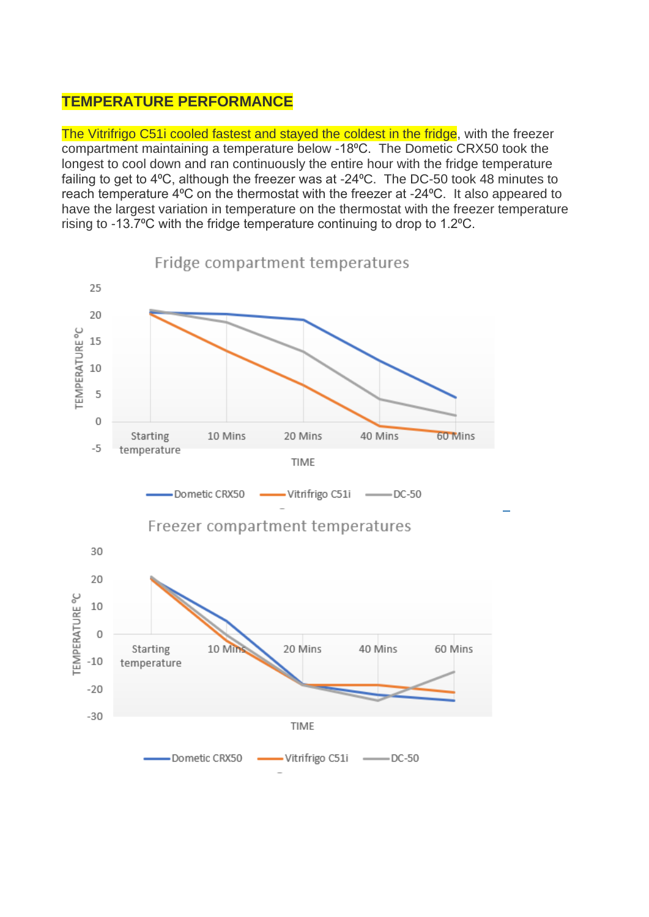#### **TEMPERATURE PERFORMANCE**

The Vitrifrigo C51i cooled fastest and stayed the coldest in the fridge, with the freezer compartment maintaining a temperature below -18⁰C. The Dometic CRX50 took the longest to cool down and ran continuously the entire hour with the fridge temperature failing to get to 4°C, although the freezer was at -24°C. The DC-50 took 48 minutes to reach temperature 4°C on the thermostat with the freezer at -24°C. It also appeared to have the largest variation in temperature on the thermostat with the freezer temperature rising to -13.7°C with the fridge temperature continuing to drop to 1.2°C.